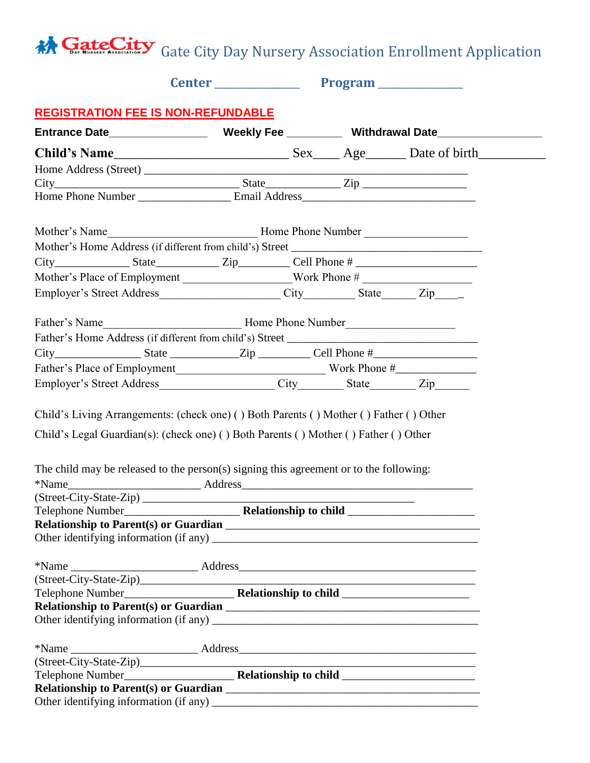## GateCity Gate City Day Nursery Association Enrollment Application

|                                                                                                                                                                                                                                                                                                             | Center Program |  |  |
|-------------------------------------------------------------------------------------------------------------------------------------------------------------------------------------------------------------------------------------------------------------------------------------------------------------|----------------|--|--|
| <b>REGISTRATION FEE IS NON-REFUNDABLE</b>                                                                                                                                                                                                                                                                   |                |  |  |
|                                                                                                                                                                                                                                                                                                             |                |  |  |
|                                                                                                                                                                                                                                                                                                             |                |  |  |
|                                                                                                                                                                                                                                                                                                             |                |  |  |
|                                                                                                                                                                                                                                                                                                             |                |  |  |
|                                                                                                                                                                                                                                                                                                             |                |  |  |
|                                                                                                                                                                                                                                                                                                             |                |  |  |
|                                                                                                                                                                                                                                                                                                             |                |  |  |
|                                                                                                                                                                                                                                                                                                             |                |  |  |
| Mother's Place of Employment ______________________Work Phone # _________________                                                                                                                                                                                                                           |                |  |  |
|                                                                                                                                                                                                                                                                                                             |                |  |  |
|                                                                                                                                                                                                                                                                                                             |                |  |  |
|                                                                                                                                                                                                                                                                                                             |                |  |  |
|                                                                                                                                                                                                                                                                                                             |                |  |  |
|                                                                                                                                                                                                                                                                                                             |                |  |  |
|                                                                                                                                                                                                                                                                                                             |                |  |  |
| Child's Living Arrangements: (check one) () Both Parents () Mother () Father () Other<br>Child's Legal Guardian(s): (check one) () Both Parents () Mother () Father () Other<br>The child may be released to the person(s) signing this agreement or to the following:                                      |                |  |  |
| $\frac{1}{2}$ (Street-City-State-Zip)                                                                                                                                                                                                                                                                       |                |  |  |
|                                                                                                                                                                                                                                                                                                             |                |  |  |
|                                                                                                                                                                                                                                                                                                             |                |  |  |
| (Street-City-State-Zip)<br>Telephone Number<br>Telephone Number                                                                                                                                                                                                                                             |                |  |  |
|                                                                                                                                                                                                                                                                                                             |                |  |  |
|                                                                                                                                                                                                                                                                                                             |                |  |  |
| $*Name$ $\_\_\_\_\_$ Address $\_\_\_\_\_\_\_$ And $\_\_\_\_\_$ and $\_\_\_\_\_\_$ Address $\_\_\_\_\_\_\_$ and $\_\_\_\_\_\_$ and $\_\_\_\_\_\_$ and $\_\_\_\_\_\_$ and $\_\_\_\_\_\_$ and $\_\_\_\_\_\_$ and $\_\_\_\_\_\_$ and $\_\_\_\_\_\_$ and $\_\_\_\_\_\_$ and $\_\_\_\_\_\_$ and $\_\_\_\_\_\_$ an |                |  |  |
|                                                                                                                                                                                                                                                                                                             |                |  |  |
|                                                                                                                                                                                                                                                                                                             |                |  |  |
|                                                                                                                                                                                                                                                                                                             |                |  |  |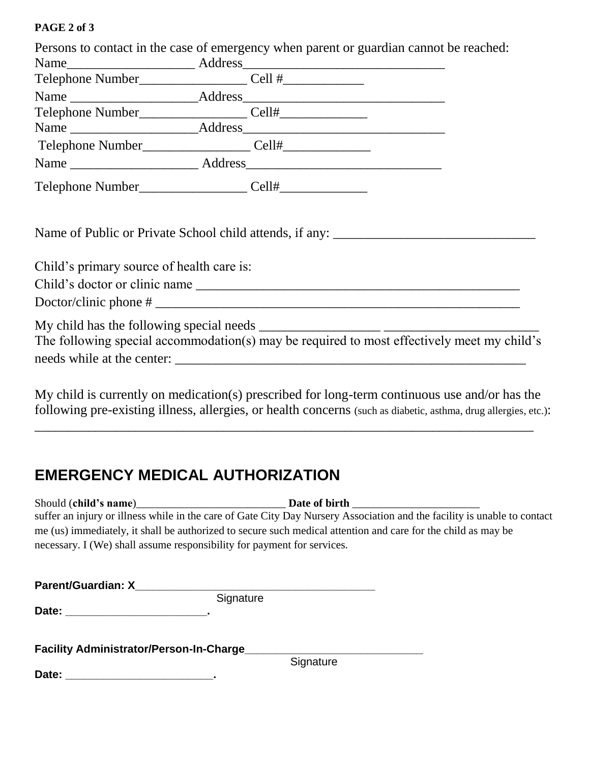## **PAGE 2 of 3**

| Persons to contact in the case of emergency when parent or guardian cannot be reached: |  |                                                                                                                                                                                                                  |
|----------------------------------------------------------------------------------------|--|------------------------------------------------------------------------------------------------------------------------------------------------------------------------------------------------------------------|
|                                                                                        |  |                                                                                                                                                                                                                  |
|                                                                                        |  |                                                                                                                                                                                                                  |
|                                                                                        |  |                                                                                                                                                                                                                  |
|                                                                                        |  |                                                                                                                                                                                                                  |
|                                                                                        |  |                                                                                                                                                                                                                  |
|                                                                                        |  |                                                                                                                                                                                                                  |
|                                                                                        |  |                                                                                                                                                                                                                  |
|                                                                                        |  |                                                                                                                                                                                                                  |
| Child's primary source of health care is:                                              |  |                                                                                                                                                                                                                  |
| $Doctor/clinic phone # \n\overline{\phantom{a}}\phantom{a}$                            |  |                                                                                                                                                                                                                  |
|                                                                                        |  | The following special accommodation(s) may be required to most effectively meet my child's                                                                                                                       |
|                                                                                        |  | My child is currently on medication(s) prescribed for long-term continuous use and/or has the<br>following pre-existing illness, allergies, or health concerns (such as diabetic, asthma, drug allergies, etc.): |

## **EMERGENCY MEDICAL AUTHORIZATION**

| Should (child's name)<br>Date of birth                                                                                   |  |
|--------------------------------------------------------------------------------------------------------------------------|--|
| suffer an injury or illness while in the care of Gate City Day Nursery Association and the facility is unable to contact |  |
| me (us) immediately, it shall be authorized to secure such medical attention and care for the child as may be            |  |
| necessary. I (We) shall assume responsibility for payment for services.                                                  |  |
|                                                                                                                          |  |

\_\_\_\_\_\_\_\_\_\_\_\_\_\_\_\_\_\_\_\_\_\_\_\_\_\_\_\_\_\_\_\_\_\_\_\_\_\_\_\_\_\_\_\_\_\_\_\_\_\_\_\_\_\_\_\_\_\_\_\_\_\_\_\_\_\_\_\_\_\_\_\_\_\_

| <b>Parent/Guardian: X</b> | Signature                                |  |
|---------------------------|------------------------------------------|--|
|                           |                                          |  |
|                           |                                          |  |
|                           | Facility Administrator/Person-In-Charge_ |  |
|                           | Signature                                |  |